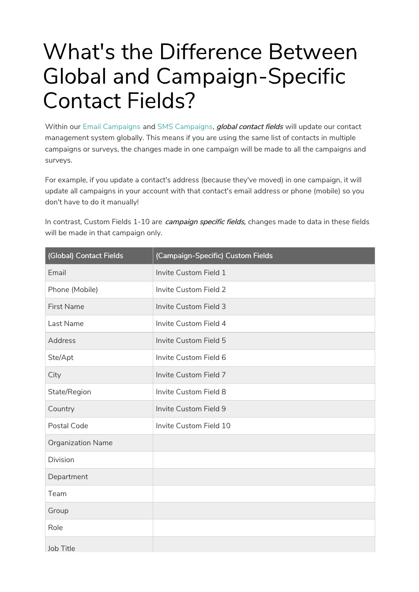# What's the Difference Between Global and Campaign-Specific Contact Fields?

Within our Email Campaigns and SMS Campaigns, *global contact fields* will update our contact management system globally. This means if you are using the same list of contacts in multiple campaigns or surveys, the changes made in one campaign will be made to all the campaigns and surveys.

For example, if you update a contact's address (because they've moved) in one campaign, it will update all campaigns in your account with that contact's email address or phone (mobile) so you don't have to do it manually!

In contrast, Custom Fields 1-10 are *campaign specific fields*, changes made to data in these fields will be made in that campaign only.

| (Global) Contact Fields  | (Campaign-Specific) Custom Fields |
|--------------------------|-----------------------------------|
| Email                    | Invite Custom Field 1             |
| Phone (Mobile)           | <b>Invite Custom Field 2</b>      |
| <b>First Name</b>        | Invite Custom Field 3             |
| Last Name                | Invite Custom Field 4             |
| <b>Address</b>           | <b>Invite Custom Field 5</b>      |
| Ste/Apt                  | Invite Custom Field 6             |
| City                     | Invite Custom Field 7             |
| State/Region             | Invite Custom Field 8             |
| Country                  | Invite Custom Field 9             |
| Postal Code              | Invite Custom Field 10            |
| <b>Organization Name</b> |                                   |
| <b>Division</b>          |                                   |
| Department               |                                   |
| Team                     |                                   |
| Group                    |                                   |
| Role                     |                                   |
| Job Title                |                                   |